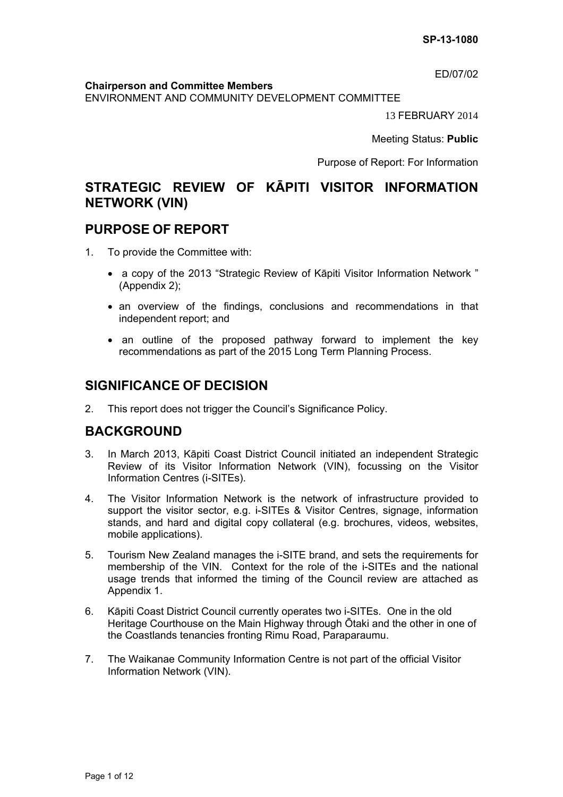ED/07/02

#### **Chairperson and Committee Members**

ENVIRONMENT AND COMMUNITY DEVELOPMENT COMMITTEE

13 FEBRUARY 2014

Meeting Status: **Public**

Purpose of Report: For Information

# **STRATEGIC REVIEW OF KĀPITI VISITOR INFORMATION NETWORK (VIN)**

## **PURPOSE OF REPORT**

- 1. To provide the Committee with:
	- a copy of the 2013 "Strategic Review of Kāpiti Visitor Information Network " (Appendix 2);
	- an overview of the findings, conclusions and recommendations in that independent report; and
	- an outline of the proposed pathway forward to implement the key recommendations as part of the 2015 Long Term Planning Process.

# **SIGNIFICANCE OF DECISION**

2. This report does not trigger the Council's Significance Policy.

# **BACKGROUND**

- 3. In March 2013, Kāpiti Coast District Council initiated an independent Strategic Review of its Visitor Information Network (VIN), focussing on the Visitor Information Centres (i-SITEs).
- 4. The Visitor Information Network is the network of infrastructure provided to support the visitor sector, e.g. i-SITEs & Visitor Centres, signage, information stands, and hard and digital copy collateral (e.g. brochures, videos, websites, mobile applications).
- 5. Tourism New Zealand manages the i-SITE brand, and sets the requirements for membership of the VIN. Context for the role of the i-SITEs and the national usage trends that informed the timing of the Council review are attached as Appendix 1.
- 6. Kāpiti Coast District Council currently operates two i-SITEs. One in the old Heritage Courthouse on the Main Highway through Ōtaki and the other in one of the Coastlands tenancies fronting Rimu Road, Paraparaumu.
- 7. The Waikanae Community Information Centre is not part of the official Visitor Information Network (VIN).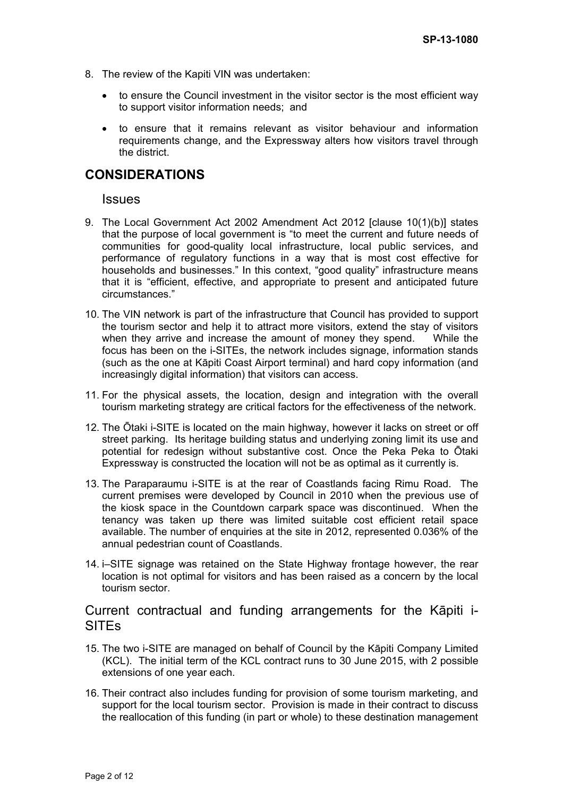- 8. The review of the Kapiti VIN was undertaken:
	- to ensure the Council investment in the visitor sector is the most efficient way to support visitor information needs; and
	- to ensure that it remains relevant as visitor behaviour and information requirements change, and the Expressway alters how visitors travel through the district.

# **CONSIDERATIONS**

**Issues** 

- 9. The Local Government Act 2002 Amendment Act 2012 [clause 10(1)(b)] states that the purpose of local government is "to meet the current and future needs of communities for good-quality local infrastructure, local public services, and performance of regulatory functions in a way that is most cost effective for households and businesses." In this context, "good quality" infrastructure means that it is "efficient, effective, and appropriate to present and anticipated future circumstances."
- 10. The VIN network is part of the infrastructure that Council has provided to support the tourism sector and help it to attract more visitors, extend the stay of visitors when they arrive and increase the amount of money they spend. While the focus has been on the i-SITEs, the network includes signage, information stands (such as the one at Kāpiti Coast Airport terminal) and hard copy information (and increasingly digital information) that visitors can access.
- 11. For the physical assets, the location, design and integration with the overall tourism marketing strategy are critical factors for the effectiveness of the network.
- 12. The Ōtaki i-SITE is located on the main highway, however it lacks on street or off street parking. Its heritage building status and underlying zoning limit its use and potential for redesign without substantive cost. Once the Peka Peka to Ōtaki Expressway is constructed the location will not be as optimal as it currently is.
- 13. The Paraparaumu i-SITE is at the rear of Coastlands facing Rimu Road. The current premises were developed by Council in 2010 when the previous use of the kiosk space in the Countdown carpark space was discontinued. When the tenancy was taken up there was limited suitable cost efficient retail space available. The number of enquiries at the site in 2012, represented 0.036% of the annual pedestrian count of Coastlands.
- 14. i–SITE signage was retained on the State Highway frontage however, the rear location is not optimal for visitors and has been raised as a concern by the local tourism sector.

## Current contractual and funding arrangements for the Kāpiti i-SITEs

- 15. The two i-SITE are managed on behalf of Council by the Kāpiti Company Limited (KCL). The initial term of the KCL contract runs to 30 June 2015, with 2 possible extensions of one year each.
- 16. Their contract also includes funding for provision of some tourism marketing, and support for the local tourism sector. Provision is made in their contract to discuss the reallocation of this funding (in part or whole) to these destination management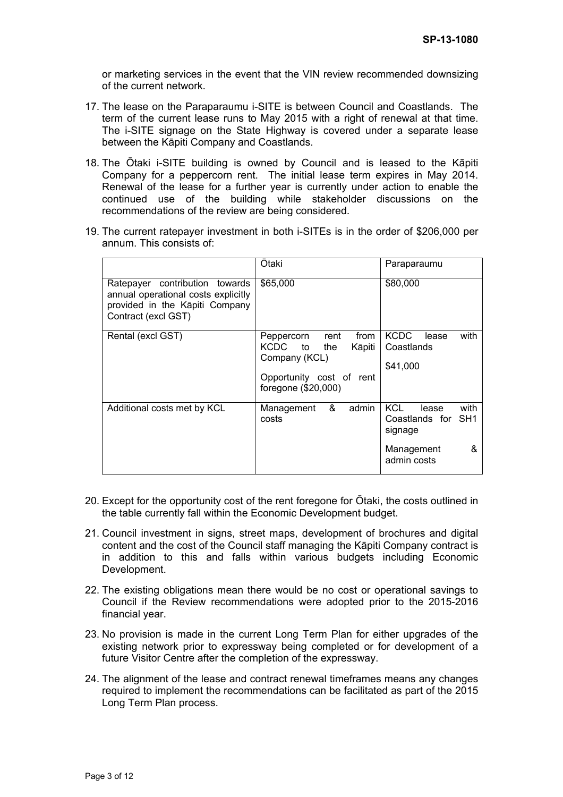or marketing services in the event that the VIN review recommended downsizing of the current network.

- 17. The lease on the Paraparaumu i-SITE is between Council and Coastlands. The term of the current lease runs to May 2015 with a right of renewal at that time. The i-SITE signage on the State Highway is covered under a separate lease between the Kāpiti Company and Coastlands.
- 18. The Ōtaki i-SITE building is owned by Council and is leased to the Kāpiti Company for a peppercorn rent. The initial lease term expires in May 2014. Renewal of the lease for a further year is currently under action to enable the continued use of the building while stakeholder discussions on the recommendations of the review are being considered.
- 19. The current ratepayer investment in both i-SITEs is in the order of \$206,000 per annum. This consists of:

|                                                                                                                                | Otaki                                                                                                                   | Paraparaumu                                                                              |
|--------------------------------------------------------------------------------------------------------------------------------|-------------------------------------------------------------------------------------------------------------------------|------------------------------------------------------------------------------------------|
| Ratepayer contribution towards<br>annual operational costs explicitly<br>provided in the Kāpiti Company<br>Contract (excl GST) | \$65,000                                                                                                                | \$80,000                                                                                 |
| Rental (excl GST)                                                                                                              | from<br>rent<br>Peppercorn<br>KCDC to the<br>Kāpiti<br>Company (KCL)<br>Opportunity cost of rent<br>foregone (\$20,000) | <b>KCDC</b><br>with<br>lease<br>Coastlands<br>\$41,000                                   |
| Additional costs met by KCL                                                                                                    | admin<br>&<br>Management<br>costs                                                                                       | KCL.<br>with<br>lease<br>Coastlands for SH1<br>signage<br>Management<br>&<br>admin costs |

- 20. Except for the opportunity cost of the rent foregone for Ōtaki, the costs outlined in the table currently fall within the Economic Development budget.
- 21. Council investment in signs, street maps, development of brochures and digital content and the cost of the Council staff managing the Kāpiti Company contract is in addition to this and falls within various budgets including Economic Development.
- 22. The existing obligations mean there would be no cost or operational savings to Council if the Review recommendations were adopted prior to the 2015-2016 financial year.
- 23. No provision is made in the current Long Term Plan for either upgrades of the existing network prior to expressway being completed or for development of a future Visitor Centre after the completion of the expressway.
- 24. The alignment of the lease and contract renewal timeframes means any changes required to implement the recommendations can be facilitated as part of the 2015 Long Term Plan process.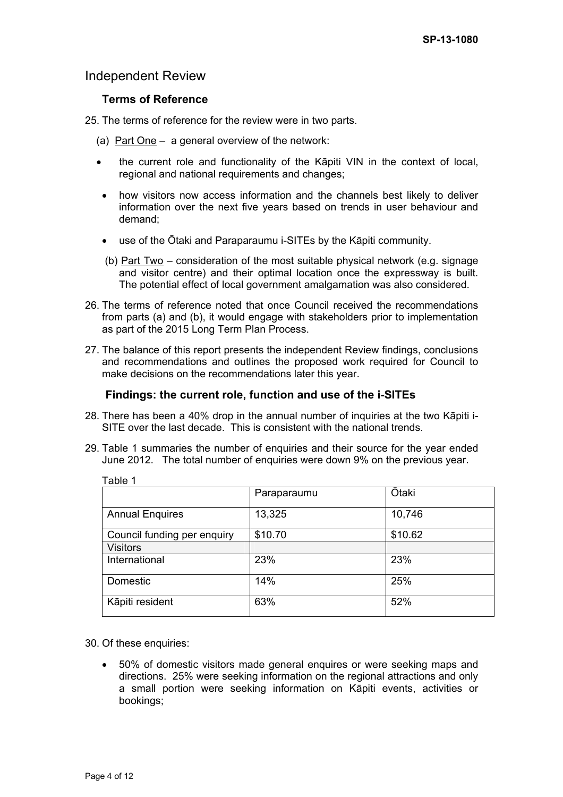## Independent Review

### **Terms of Reference**

- 25. The terms of reference for the review were in two parts.
	- (a) Part One  $-$  a general overview of the network:
	- the current role and functionality of the Kāpiti VIN in the context of local, regional and national requirements and changes:
	- how visitors now access information and the channels best likely to deliver information over the next five years based on trends in user behaviour and demand;
	- use of the Ōtaki and Paraparaumu i-SITEs by the Kāpiti community.
	- (b) Part Two consideration of the most suitable physical network (e.g. signage and visitor centre) and their optimal location once the expressway is built. The potential effect of local government amalgamation was also considered.
- 26. The terms of reference noted that once Council received the recommendations from parts (a) and (b), it would engage with stakeholders prior to implementation as part of the 2015 Long Term Plan Process.
- 27. The balance of this report presents the independent Review findings, conclusions and recommendations and outlines the proposed work required for Council to make decisions on the recommendations later this year.

### **Findings: the current role, function and use of the i-SITEs**

- 28. There has been a 40% drop in the annual number of inquiries at the two Kāpiti i-SITE over the last decade. This is consistent with the national trends.
- 29. Table 1 summaries the number of enquiries and their source for the year ended June 2012. The total number of enquiries were down 9% on the previous year.

| י טושוי                     |             |              |
|-----------------------------|-------------|--------------|
|                             | Paraparaumu | <b>Ōtaki</b> |
| <b>Annual Enquires</b>      | 13,325      | 10,746       |
| Council funding per enquiry | \$10.70     | \$10.62      |
| <b>Visitors</b>             |             |              |
| International               | 23%         | 23%          |
| Domestic                    | 14%         | 25%          |
| Kāpiti resident             | 63%         | 52%          |

30. Of these enquiries:

Table 1

 50% of domestic visitors made general enquires or were seeking maps and directions. 25% were seeking information on the regional attractions and only a small portion were seeking information on Kāpiti events, activities or bookings;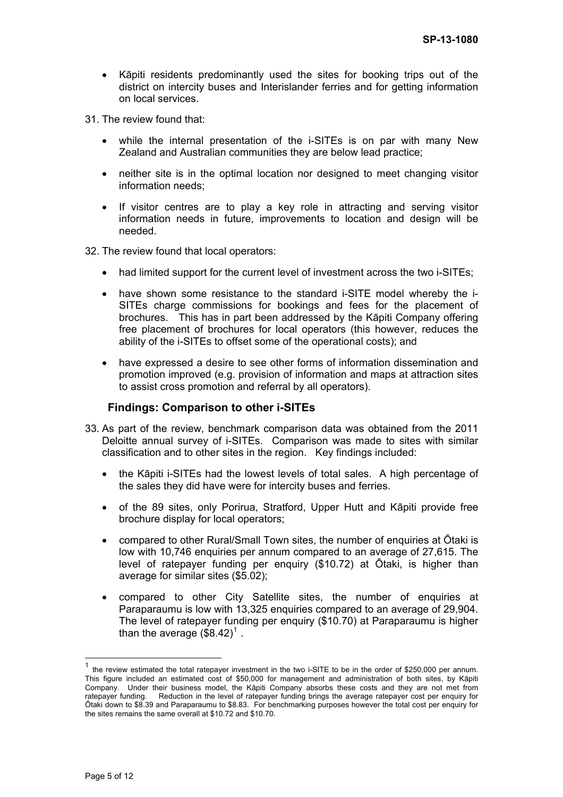- Kāpiti residents predominantly used the sites for booking trips out of the district on intercity buses and Interislander ferries and for getting information on local services.
- 31. The review found that:
	- while the internal presentation of the i-SITEs is on par with many New Zealand and Australian communities they are below lead practice;
	- neither site is in the optimal location nor designed to meet changing visitor information needs;
	- If visitor centres are to play a key role in attracting and serving visitor information needs in future, improvements to location and design will be needed.
- 32. The review found that local operators:
	- had limited support for the current level of investment across the two i-SITEs;
	- have shown some resistance to the standard i-SITE model whereby the i-SITEs charge commissions for bookings and fees for the placement of brochures. This has in part been addressed by the Kāpiti Company offering free placement of brochures for local operators (this however, reduces the ability of the i-SITEs to offset some of the operational costs); and
	- have expressed a desire to see other forms of information dissemination and promotion improved (e.g. provision of information and maps at attraction sites to assist cross promotion and referral by all operators).

### **Findings: Comparison to other i-SITEs**

- 33. As part of the review, benchmark comparison data was obtained from the 2011 Deloitte annual survey of i-SITEs. Comparison was made to sites with similar classification and to other sites in the region. Key findings included:
	- the Kāpiti i-SITEs had the lowest levels of total sales. A high percentage of the sales they did have were for intercity buses and ferries.
	- of the 89 sites, only Porirua, Stratford, Upper Hutt and Kāpiti provide free brochure display for local operators;
	- compared to other Rural/Small Town sites, the number of enquiries at Ōtaki is low with 10,746 enquiries per annum compared to an average of 27,615. The level of ratepayer funding per enquiry (\$10.72) at Ōtaki, is higher than average for similar sites (\$5.02);
	- compared to other City Satellite sites, the number of enquiries at Paraparaumu is low with 13,325 enquiries compared to an average of 29,904. The level of ratepayer funding per enquiry (\$10.70) at Paraparaumu is higher than the average  $(\$8.42)^{1}$  $(\$8.42)^{1}$  $(\$8.42)^{1}$  .

 $\overline{a}$ 

<span id="page-4-0"></span>the review estimated the total ratepayer investment in the two i-SITE to be in the order of \$250,000 per annum. This figure included an estimated cost of \$50,000 for management and administration of both sites, by Kāpiti Company. Under their business model, the Kāpiti Company absorbs these costs and they are not met from ratepayer funding. Reduction in the level of ratepayer funding brings the average ratepayer cost per enquiry for Ōtaki down to \$8.39 and Paraparaumu to \$8.83. For benchmarking purposes however the total cost per enquiry for the sites remains the same overall at \$10.72 and \$10.70.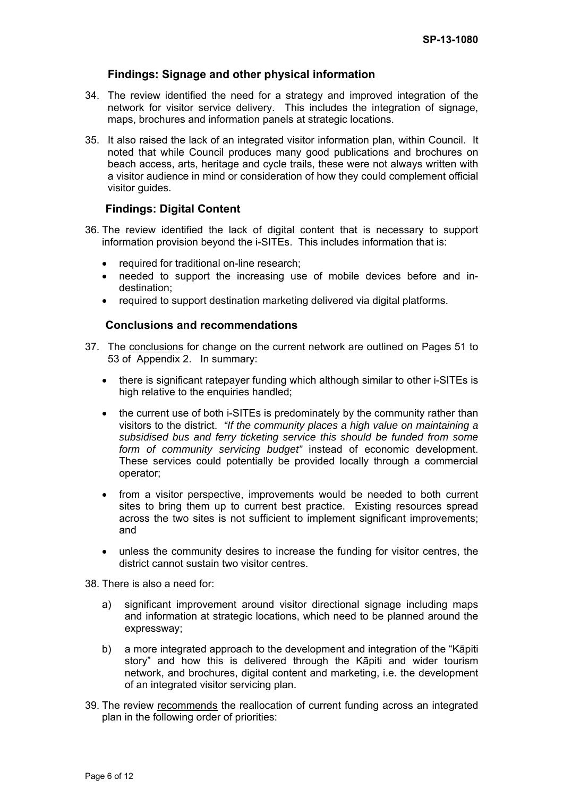### **Findings: Signage and other physical information**

- 34. The review identified the need for a strategy and improved integration of the network for visitor service delivery. This includes the integration of signage, maps, brochures and information panels at strategic locations.
- 35. It also raised the lack of an integrated visitor information plan, within Council. It noted that while Council produces many good publications and brochures on beach access, arts, heritage and cycle trails, these were not always written with a visitor audience in mind or consideration of how they could complement official visitor guides.

### **Findings: Digital Content**

- 36. The review identified the lack of digital content that is necessary to support information provision beyond the i-SITEs. This includes information that is:
	- required for traditional on-line research;
	- needed to support the increasing use of mobile devices before and indestination;
	- required to support destination marketing delivered via digital platforms.

### **Conclusions and recommendations**

- 37. The conclusions for change on the current network are outlined on Pages 51 to 53 of Appendix 2. In summary:
	- there is significant ratepayer funding which although similar to other i-SITEs is high relative to the enquiries handled;
	- the current use of both i-SITEs is predominately by the community rather than visitors to the district. *"If the community places a high value on maintaining a subsidised bus and ferry ticketing service this should be funded from some form of community servicing budget"* instead of economic development. These services could potentially be provided locally through a commercial operator;
	- from a visitor perspective, improvements would be needed to both current sites to bring them up to current best practice. Existing resources spread across the two sites is not sufficient to implement significant improvements; and
	- unless the community desires to increase the funding for visitor centres, the district cannot sustain two visitor centres.

38. There is also a need for:

- a) significant improvement around visitor directional signage including maps and information at strategic locations, which need to be planned around the expressway;
- b) a more integrated approach to the development and integration of the "Kāpiti story" and how this is delivered through the Kāpiti and wider tourism network, and brochures, digital content and marketing, i.e. the development of an integrated visitor servicing plan.
- 39. The review recommends the reallocation of current funding across an integrated plan in the following order of priorities: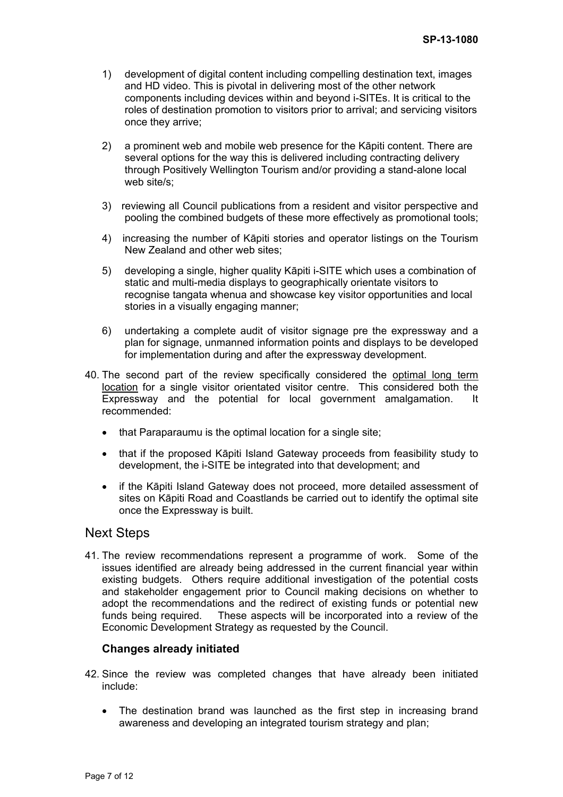- 1) development of digital content including compelling destination text, images and HD video. This is pivotal in delivering most of the other network components including devices within and beyond i-SITEs. It is critical to the roles of destination promotion to visitors prior to arrival; and servicing visitors once they arrive;
- 2) a prominent web and mobile web presence for the Kāpiti content. There are several options for the way this is delivered including contracting delivery through Positively Wellington Tourism and/or providing a stand-alone local web site/s;
- 3) reviewing all Council publications from a resident and visitor perspective and pooling the combined budgets of these more effectively as promotional tools;
- 4) increasing the number of Kāpiti stories and operator listings on the Tourism New Zealand and other web sites;
- 5) developing a single, higher quality Kāpiti i-SITE which uses a combination of static and multi-media displays to geographically orientate visitors to recognise tangata whenua and showcase key visitor opportunities and local stories in a visually engaging manner;
- 6) undertaking a complete audit of visitor signage pre the expressway and a plan for signage, unmanned information points and displays to be developed for implementation during and after the expressway development.
- 40. The second part of the review specifically considered the optimal long term location for a single visitor orientated visitor centre. This considered both the Expressway and the potential for local government amalgamation. It recommended:
	- that Paraparaumu is the optimal location for a single site;
	- that if the proposed Kāpiti Island Gateway proceeds from feasibility study to development, the i-SITE be integrated into that development; and
	- if the Kāpiti Island Gateway does not proceed, more detailed assessment of sites on Kāpiti Road and Coastlands be carried out to identify the optimal site once the Expressway is built.

## Next Steps

41. The review recommendations represent a programme of work. Some of the issues identified are already being addressed in the current financial year within existing budgets. Others require additional investigation of the potential costs and stakeholder engagement prior to Council making decisions on whether to adopt the recommendations and the redirect of existing funds or potential new funds being required. These aspects will be incorporated into a review of the Economic Development Strategy as requested by the Council.

### **Changes already initiated**

- 42. Since the review was completed changes that have already been initiated include:
	- The destination brand was launched as the first step in increasing brand awareness and developing an integrated tourism strategy and plan;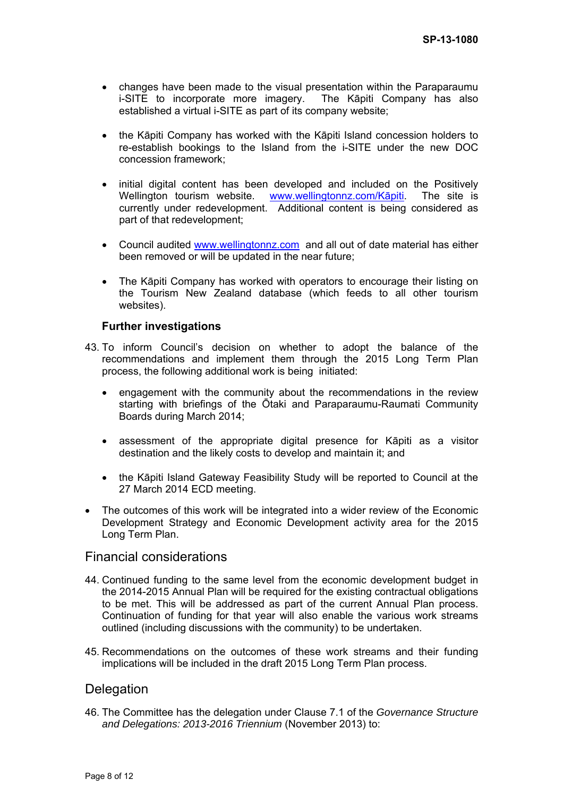- changes have been made to the visual presentation within the Paraparaumu i-SITE to incorporate more imagery. The Kāpiti Company has also established a virtual i-SITE as part of its company website;
- the Kāpiti Company has worked with the Kāpiti Island concession holders to re-establish bookings to the Island from the i-SITE under the new DOC concession framework;
- initial digital content has been developed and included on the Positively Wellington tourism website. [www.wellingtonnz.com/K](http://www.wellingtonnz.com/kapiti)āpiti. The site is currently under redevelopment. Additional content is being considered as part of that redevelopment;
- Council audited [www.wellingtonnz.com](http://www.wellingtonnz.com/) and all out of date material has either been removed or will be updated in the near future;
- The Kāpiti Company has worked with operators to encourage their listing on the Tourism New Zealand database (which feeds to all other tourism websites).

### **Further investigations**

- 43. To inform Council's decision on whether to adopt the balance of the recommendations and implement them through the 2015 Long Term Plan process, the following additional work is being initiated:
	- engagement with the community about the recommendations in the review starting with briefings of the Ōtaki and Paraparaumu-Raumati Community Boards during March 2014;
	- assessment of the appropriate digital presence for Kāpiti as a visitor destination and the likely costs to develop and maintain it; and
	- the Kāpiti Island Gateway Feasibility Study will be reported to Council at the 27 March 2014 ECD meeting.
- The outcomes of this work will be integrated into a wider review of the Economic Development Strategy and Economic Development activity area for the 2015 Long Term Plan.

## Financial considerations

- 44. Continued funding to the same level from the economic development budget in the 2014-2015 Annual Plan will be required for the existing contractual obligations to be met. This will be addressed as part of the current Annual Plan process. Continuation of funding for that year will also enable the various work streams outlined (including discussions with the community) to be undertaken.
- 45. Recommendations on the outcomes of these work streams and their funding implications will be included in the draft 2015 Long Term Plan process.

## **Delegation**

46. The Committee has the delegation under Clause 7.1 of the *Governance Structure and Delegations: 2013-2016 Triennium* (November 2013) to: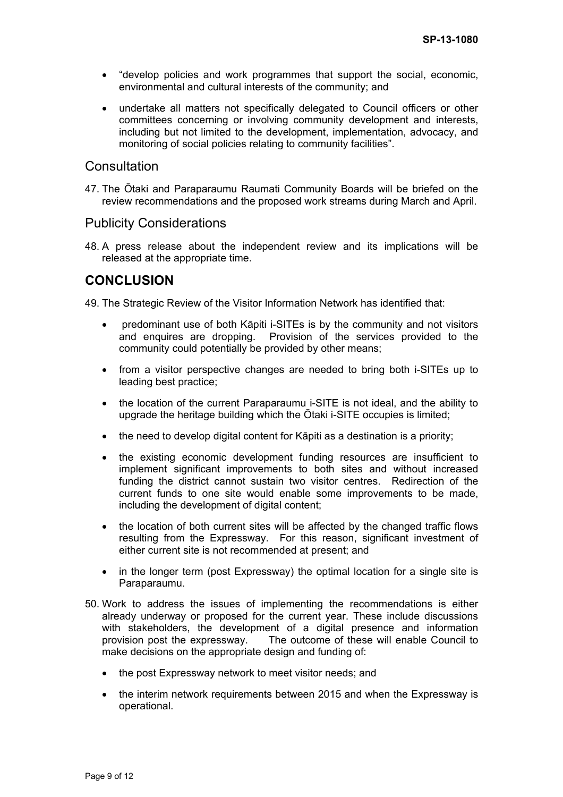- "develop policies and work programmes that support the social, economic, environmental and cultural interests of the community; and
- undertake all matters not specifically delegated to Council officers or other committees concerning or involving community development and interests, including but not limited to the development, implementation, advocacy, and monitoring of social policies relating to community facilities".

### **Consultation**

47. The Ōtaki and Paraparaumu Raumati Community Boards will be briefed on the review recommendations and the proposed work streams during March and April.

### Publicity Considerations

48. A press release about the independent review and its implications will be released at the appropriate time.

# **CONCLUSION**

49. The Strategic Review of the Visitor Information Network has identified that:

- predominant use of both Kāpiti i-SITEs is by the community and not visitors and enquires are dropping. Provision of the services provided to the community could potentially be provided by other means;
- from a visitor perspective changes are needed to bring both i-SITEs up to leading best practice;
- the location of the current Paraparaumu i-SITE is not ideal, and the ability to upgrade the heritage building which the Ōtaki i-SITE occupies is limited;
- the need to develop digital content for Kāpiti as a destination is a priority;
- the existing economic development funding resources are insufficient to implement significant improvements to both sites and without increased funding the district cannot sustain two visitor centres. Redirection of the current funds to one site would enable some improvements to be made, including the development of digital content;
- the location of both current sites will be affected by the changed traffic flows resulting from the Expressway. For this reason, significant investment of either current site is not recommended at present; and
- in the longer term (post Expressway) the optimal location for a single site is Paraparaumu.
- 50. Work to address the issues of implementing the recommendations is either already underway or proposed for the current year. These include discussions with stakeholders, the development of a digital presence and information provision post the expressway. The outcome of these will enable Council to make decisions on the appropriate design and funding of:
	- the post Expressway network to meet visitor needs; and
	- the interim network requirements between 2015 and when the Expressway is operational.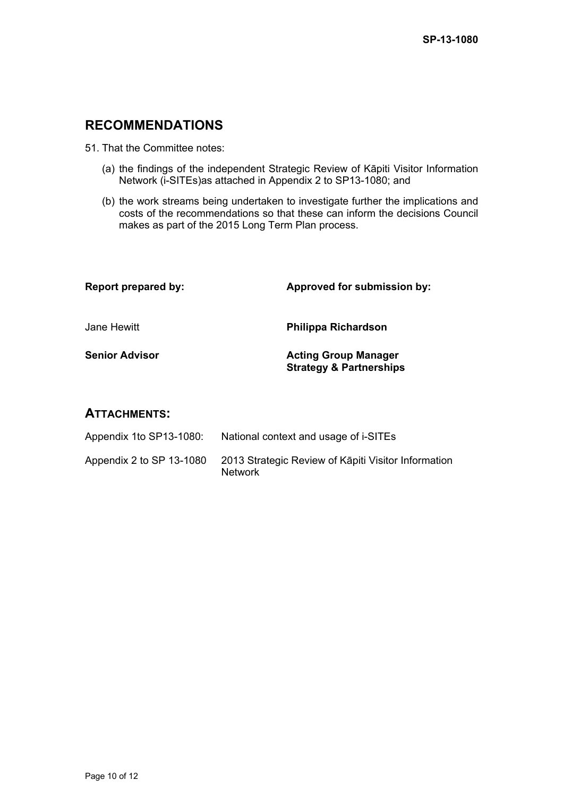# **RECOMMENDATIONS**

51. That the Committee notes:

- (a) the findings of the independent Strategic Review of Kāpiti Visitor Information Network (i-SITEs)as attached in Appendix 2 to SP13-1080; and
- (b) the work streams being undertaken to investigate further the implications and costs of the recommendations so that these can inform the decisions Council makes as part of the 2015 Long Term Plan process.

| <b>Report prepared by:</b> | Approved for submission by:                                       |  |
|----------------------------|-------------------------------------------------------------------|--|
| Jane Hewitt                | <b>Philippa Richardson</b>                                        |  |
| <b>Senior Advisor</b>      | <b>Acting Group Manager</b><br><b>Strategy &amp; Partnerships</b> |  |

## **ATTACHMENTS:**

| Appendix 1to SP13-1080:  | National context and usage of i-SITEs                                 |
|--------------------------|-----------------------------------------------------------------------|
| Appendix 2 to SP 13-1080 | 2013 Strategic Review of Kāpiti Visitor Information<br><b>Network</b> |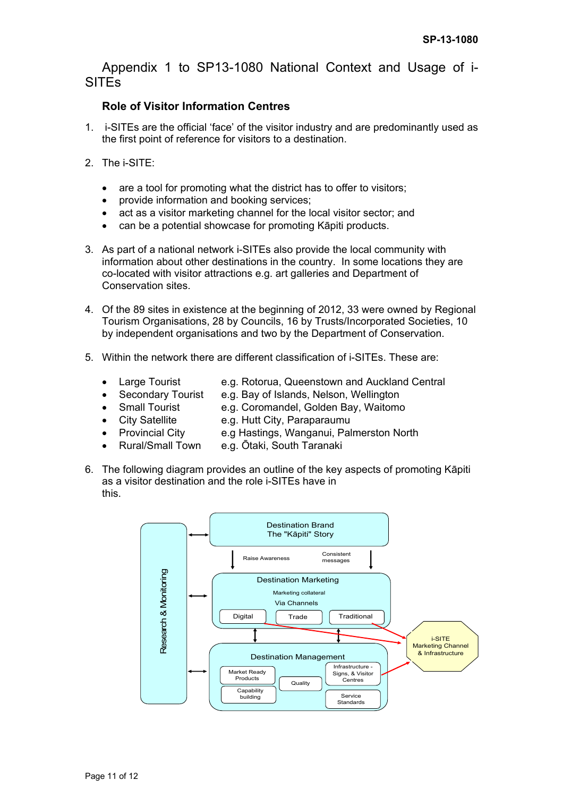Appendix 1 to SP13-1080 National Context and Usage of i-SITEs

## **Role of Visitor Information Centres**

- 1. i-SITEs are the official 'face' of the visitor industry and are predominantly used as the first point of reference for visitors to a destination.
- 2. The i-SITE:
	- are a tool for promoting what the district has to offer to visitors;
	- provide information and booking services;
	- act as a visitor marketing channel for the local visitor sector; and
	- can be a potential showcase for promoting Kāpiti products.
- 3. As part of a national network i-SITEs also provide the local community with information about other destinations in the country. In some locations they are co-located with visitor attractions e.g. art galleries and Department of Conservation sites.
- 4. Of the 89 sites in existence at the beginning of 2012, 33 were owned by Regional Tourism Organisations, 28 by Councils, 16 by Trusts/Incorporated Societies, 10 by independent organisations and two by the Department of Conservation.
- 5. Within the network there are different classification of i-SITEs. These are:
	- - Large Tourist e.g. Rotorua, Queenstown and Auckland Central
	- Secondary Tourist e.g. Bay of Islands, Nelson, Wellington
	- Small Tourist e.g. Coromandel, Golden Bay, Waitomo
	-
	- City Satellite e.g. Hutt City, Paraparaumu
	- Provincial City e.g Hastings, Wanganui, Palmerston North
		- Rural/Small Town e.g. Ōtaki, South Taranaki
- 6. The following diagram provides an outline of the key aspects of promoting Kāpiti as a visitor destination and the role i-SITEs have in this.